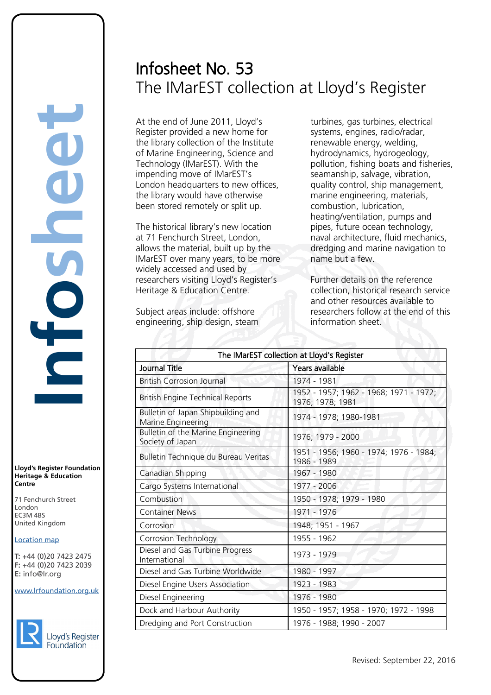# Infosheet No. 53 The IMarEST collection at Lloyd's Register

At the end of June 2011, Lloyd's Register provided a new home for the library collection of the Institute of Marine Engineering, Science and Technology (IMarEST). With the impending move of IMarEST's London headquarters to new offices. the library would have otherwise been stored remotely or split up.

The historical library's new location at 71 Fenchurch Street, London, allows the material, built up by the IMarEST over many years, to be more widely accessed and used by researchers visiting Lloyd's Register's Heritage & Education Centre.

Subject areas include: offshore engineering, ship design, steam turbines, gas turbines, electrical systems, engines, radio/radar, renewable energy, welding, hydrodynamics, hydrogeology, pollution, fishing boats and fisheries, seamanship, salvage, vibration, quality control, ship management, marine engineering, materials, combustion, lubrication, heating/ventilation, pumps and pipes, future ocean technology, naval architecture, fluid mechanics, dredging and marine navigation to name but a few.

Further details on the reference collection, historical research service and other resources available to researchers follow at the end of this information sheet.

| The IMarEST collection at Lloyd's Register               |                                                            |  |  |
|----------------------------------------------------------|------------------------------------------------------------|--|--|
| Journal Title                                            | Years available                                            |  |  |
| <b>British Corrosion Journal</b>                         | 1974 - 1981                                                |  |  |
| <b>British Engine Technical Reports</b>                  | 1952 - 1957; 1962 - 1968; 1971 - 1972;<br>1976; 1978; 1981 |  |  |
| Bulletin of Japan Shipbuilding and<br>Marine Engineering | 1974 - 1978; 1980-1981                                     |  |  |
| Bulletin of the Marine Engineering<br>Society of Japan   | 1976; 1979 - 2000                                          |  |  |
| Bulletin Technique du Bureau Veritas                     | 1951 - 1956; 1960 - 1974; 1976 - 1984;<br>1986 - 1989      |  |  |
| Canadian Shipping                                        | 1967 - 1980                                                |  |  |
| Cargo Systems International                              | 1977 - 2006                                                |  |  |
| Combustion                                               | 1950 - 1978; 1979 - 1980                                   |  |  |
| <b>Container News</b>                                    | 1971 - 1976                                                |  |  |
| Corrosion                                                | 1948; 1951 - 1967                                          |  |  |
| <b>Corrosion Technology</b>                              | 1955 - 1962                                                |  |  |
| Diesel and Gas Turbine Progress<br>International         | 1973 - 1979                                                |  |  |
| Diesel and Gas Turbine Worldwide                         | 1980 - 1997                                                |  |  |
| Diesel Engine Users Association                          | 1923 - 1983                                                |  |  |
| Diesel Engineering                                       | 1976 - 1980                                                |  |  |
| Dock and Harbour Authority                               | 1950 - 1957; 1958 - 1970; 1972 - 1998                      |  |  |
| Dredging and Port Construction                           | 1976 - 1988; 1990 - 2007                                   |  |  |

**Lloyd's Register Foundation Heritage & Education Centre** rd's Register Foundat<br>
itage & Education<br>
tre<br>
Eenchurch Street<br>
don<br>
M 4BS<br>
ted Kingdom<br>
ation map<br>
44 (0)20 7423 2475<br>
44 (0)20 7423 2039<br>
nfo@lr.org

**Infosheet**

71 Fenchurch Street 7 Thematen Server<br>London EC3M 4BS United Kingdom EC3M 4BS

### **Location map**

T: +44 (0)20 7423 2475 **F:** +44 (0)20 7423 2039 Fax: +44 (0)20 7423 2039 **E:** info@lr.org  $F \rightarrow (0/20.7 + 25.205)$ 

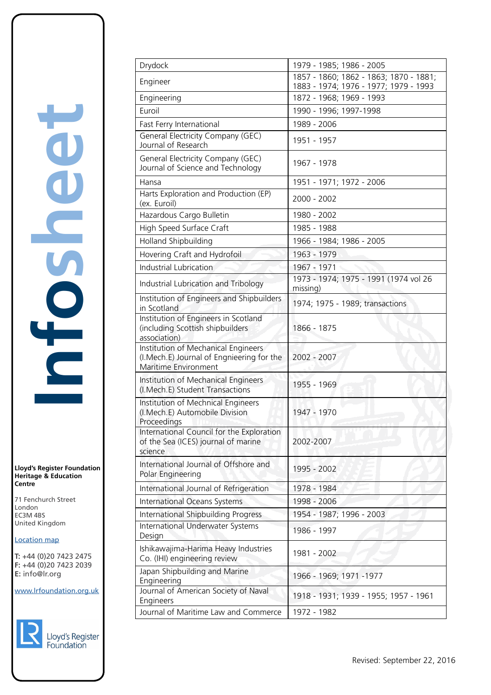# **Infosheet** TOSheet rd's Register Foundat<br>
itage & Education<br>
tre<br>
Eenchurch Street<br>
don<br>
M 4BS<br>
ted Kingdom<br>
ation map<br>
44 (0)20 7423 2475<br>
44 (0)20 7423 2039<br>
nfo@lr.org

**Lloyd's Register Foundation Heritage & Education Centre**

71 Fenchurch Street London EC3M 4BS United Kingdom Information Services EC3M 4BS

### **Location map**

T: +44 (0)20 7423 2475 **F:** +44 (0)20 7423 2039 Fax: +44 (0)20 7423 2039 **E:** info@lr.org  $F \rightarrow (0/20.7 + 25.205)$ 



| Drydock                                                                                                  | 1979 - 1985; 1986 - 2005                                                        |  |  |
|----------------------------------------------------------------------------------------------------------|---------------------------------------------------------------------------------|--|--|
| Engineer                                                                                                 | 1857 - 1860; 1862 - 1863; 1870 - 1881;<br>1883 - 1974; 1976 - 1977; 1979 - 1993 |  |  |
| Engineering                                                                                              | 1872 - 1968; 1969 - 1993                                                        |  |  |
| Euroil                                                                                                   | 1990 - 1996; 1997-1998                                                          |  |  |
| Fast Ferry International                                                                                 | 1989 - 2006                                                                     |  |  |
| General Electricity Company (GEC)<br>Journal of Research                                                 | 1951 - 1957                                                                     |  |  |
| General Electricity Company (GEC)<br>Journal of Science and Technology                                   | 1967 - 1978                                                                     |  |  |
| Hansa                                                                                                    | 1951 - 1971; 1972 - 2006                                                        |  |  |
| Harts Exploration and Production (EP)<br>(ex. Euroil)                                                    | 2000 - 2002                                                                     |  |  |
| Hazardous Cargo Bulletin                                                                                 | 1980 - 2002                                                                     |  |  |
| High Speed Surface Craft                                                                                 | 1985 - 1988                                                                     |  |  |
| Holland Shipbuilding                                                                                     | 1966 - 1984; 1986 - 2005                                                        |  |  |
| Hovering Craft and Hydrofoil                                                                             | 1963 - 1979                                                                     |  |  |
| <b>Industrial Lubrication</b>                                                                            | 1967 - 1971                                                                     |  |  |
| Industrial Lubrication and Tribology                                                                     | 1973 - 1974; 1975 - 1991 (1974 vol 26<br>missing)                               |  |  |
| Institution of Engineers and Shipbuilders<br>in Scotland                                                 | 1974; 1975 - 1989; transactions                                                 |  |  |
| Institution of Engineers in Scotland<br>(including Scottish shipbuilders<br>association)                 | 1866 - 1875                                                                     |  |  |
| Institution of Mechanical Engineers<br>(I.Mech.E) Journal of Engnieering for the<br>Maritime Environment | 2002 - 2007                                                                     |  |  |
| Institution of Mechanical Engineers<br>(I.Mech.E) Student Transactions                                   | 1955 - 1969                                                                     |  |  |
| Institution of Mechnical Engineers<br>(I.Mech.E) Automobile Division<br>Proceedings                      | 1947 - 1970                                                                     |  |  |
| International Council for the Exploration<br>of the Sea (ICES) journal of marine<br>science              | 2002-2007                                                                       |  |  |
| International Journal of Offshore and<br>Polar Engineering                                               | 1995 - 2002                                                                     |  |  |
| International Journal of Refrigeration                                                                   | 1978 - 1984                                                                     |  |  |
| International Oceans Systems                                                                             | 1998 - 2006                                                                     |  |  |
| International Shipbuilding Progress                                                                      | 1954 - 1987; 1996 - 2003                                                        |  |  |
| International Underwater Systems<br>Design                                                               | 1986 - 1997                                                                     |  |  |
| Ishikawajima-Harima Heavy Industries<br>Co. (IHI) engineering review                                     | 1981 - 2002                                                                     |  |  |
| Japan Shipbuilding and Marine<br>Engineering                                                             | 1966 - 1969; 1971 - 1977                                                        |  |  |
| Journal of American Society of Naval<br>Engineers                                                        | 1918 - 1931; 1939 - 1955; 1957 - 1961                                           |  |  |
| Journal of Maritime Law and Commerce                                                                     | 1972 - 1982                                                                     |  |  |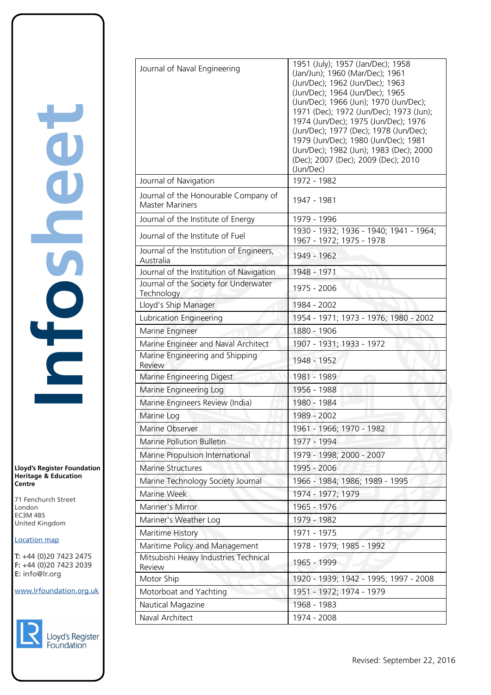**Lloyd's Register Foundation Heritage & Education Centre**

71 Fenchurch Street London EC3M 4BS United Kingdom Information Services EC3M 4BS

### **Location map**

T: +44 (0)20 7423 2475 **F:** +44 (0)20 7423 2039 Fax: +44 (0)20 7423 2039 **E:** info@lr.org  $F \rightarrow (0/20.7 + 25.205)$ 



| Journal of Naval Engineering                                   | 1951 (July); 1957 (Jan/Dec); 1958<br>(Jan/Jun); 1960 (Mar/Dec); 1961<br>(Jun/Dec); 1962 (Jun/Dec); 1963<br>(Jun/Dec); 1964 (Jun/Dec); 1965<br>(Jun/Dec); 1966 (Jun); 1970 (Jun/Dec);<br>1971 (Dec); 1972 (Jun/Dec); 1973 (Jun);<br>1974 (Jun/Dec); 1975 (Jun/Dec); 1976<br>(Jun/Dec); 1977 (Dec); 1978 (Jun/Dec);<br>1979 (Jun/Dec); 1980 (Jun/Dec); 1981<br>(Jun/Dec); 1982 (Jun); 1983 (Dec); 2000<br>(Dec); 2007 (Dec); 2009 (Dec); 2010<br>(Jun/Dec) |
|----------------------------------------------------------------|----------------------------------------------------------------------------------------------------------------------------------------------------------------------------------------------------------------------------------------------------------------------------------------------------------------------------------------------------------------------------------------------------------------------------------------------------------|
| Journal of Navigation                                          | 1972 - 1982                                                                                                                                                                                                                                                                                                                                                                                                                                              |
| Journal of the Honourable Company of<br><b>Master Mariners</b> | 1947 - 1981                                                                                                                                                                                                                                                                                                                                                                                                                                              |
| Journal of the Institute of Energy                             | 1979 - 1996                                                                                                                                                                                                                                                                                                                                                                                                                                              |
| Journal of the Institute of Fuel                               | 1930 - 1932; 1936 - 1940; 1941 - 1964;<br>1967 - 1972; 1975 - 1978                                                                                                                                                                                                                                                                                                                                                                                       |
| Journal of the Institution of Engineers,<br>Australia          | 1949 - 1962                                                                                                                                                                                                                                                                                                                                                                                                                                              |
| Journal of the Institution of Navigation                       | 1948 - 1971                                                                                                                                                                                                                                                                                                                                                                                                                                              |
| Journal of the Society for Underwater<br>Technology            | 1975 - 2006                                                                                                                                                                                                                                                                                                                                                                                                                                              |
| Lloyd's Ship Manager                                           | 1984 - 2002                                                                                                                                                                                                                                                                                                                                                                                                                                              |
| Lubrication Engineering                                        | 1954 - 1971; 1973 - 1976; 1980 - 2002                                                                                                                                                                                                                                                                                                                                                                                                                    |
| Marine Engineer                                                | 1880 - 1906                                                                                                                                                                                                                                                                                                                                                                                                                                              |
| Marine Engineer and Naval Architect                            | 1907 - 1931; 1933 - 1972                                                                                                                                                                                                                                                                                                                                                                                                                                 |
| Marine Engineering and Shipping<br>Review                      | 1948 - 1952                                                                                                                                                                                                                                                                                                                                                                                                                                              |
| Marine Engineering Digest                                      | 1981 - 1989                                                                                                                                                                                                                                                                                                                                                                                                                                              |
| Marine Engineering Log                                         | 1956 - 1988                                                                                                                                                                                                                                                                                                                                                                                                                                              |
| Marine Engineers Review (India)                                | 1980 - 1984                                                                                                                                                                                                                                                                                                                                                                                                                                              |
| Marine Log                                                     | 1989 - 2002                                                                                                                                                                                                                                                                                                                                                                                                                                              |
| Marine Observer                                                | 1961 - 1966; 1970 - 1982                                                                                                                                                                                                                                                                                                                                                                                                                                 |
| <b>Marine Pollution Bulletin</b>                               | 1977 - 1994                                                                                                                                                                                                                                                                                                                                                                                                                                              |
| Marine Propulsion International                                | 1979 - 1998; 2000 - 2007                                                                                                                                                                                                                                                                                                                                                                                                                                 |
| <b>Marine Structures</b>                                       | 1995 - 2006                                                                                                                                                                                                                                                                                                                                                                                                                                              |
| Marine Technology Society Journal                              | 1966 - 1984; 1986; 1989 - 1995                                                                                                                                                                                                                                                                                                                                                                                                                           |
| Marine Week                                                    | 1974 - 1977; 1979                                                                                                                                                                                                                                                                                                                                                                                                                                        |
| Mariner's Mirror                                               | 1965 - 1976                                                                                                                                                                                                                                                                                                                                                                                                                                              |
| Mariner's Weather Log                                          | 1979 - 1982                                                                                                                                                                                                                                                                                                                                                                                                                                              |
| Maritime History                                               | 1971 - 1975                                                                                                                                                                                                                                                                                                                                                                                                                                              |
| Maritime Policy and Management                                 | 1978 - 1979; 1985 - 1992                                                                                                                                                                                                                                                                                                                                                                                                                                 |
| Mitsubishi Heavy Industries Technical<br>Review                | 1965 - 1999                                                                                                                                                                                                                                                                                                                                                                                                                                              |
| Motor Ship                                                     | 1920 - 1939; 1942 - 1995; 1997 - 2008                                                                                                                                                                                                                                                                                                                                                                                                                    |
| Motorboat and Yachting                                         | 1951 - 1972; 1974 - 1979                                                                                                                                                                                                                                                                                                                                                                                                                                 |
| Nautical Magazine                                              | 1968 - 1983                                                                                                                                                                                                                                                                                                                                                                                                                                              |
| Naval Architect                                                | 1974 - 2008                                                                                                                                                                                                                                                                                                                                                                                                                                              |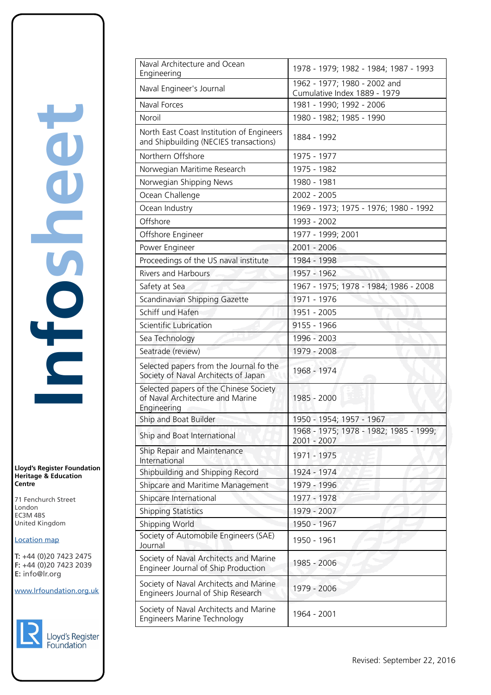**Lloyd's Register Foundation Heritage & Education Centre** rd's Register Foundat<br>
itage & Education<br>
tre<br>
Eenchurch Street<br>
don<br>
M 4BS<br>
ted Kingdom<br>
ation map<br>
44 (0)20 7423 2475<br>
44 (0)20 7423 2039<br>
nfo@lr.org

**Infosheet**

71 Fenchurch Street London EC3M 4BS United Kingdom Information Services

### **Location map**

T: +44 (0)20 7423 2475 **F:** +44 (0)20 7423 2039 Fax: +44 (0)20 7423 2039 **E:** info@lr.org  $F \rightarrow (0/20.7 + 25.205)$ 

EC3M 4BS



| Naval Architecture and Ocean<br>Engineering                                               | 1978 - 1979; 1982 - 1984; 1987 - 1993                        |  |  |
|-------------------------------------------------------------------------------------------|--------------------------------------------------------------|--|--|
| Naval Engineer's Journal                                                                  | 1962 - 1977; 1980 - 2002 and<br>Cumulative Index 1889 - 1979 |  |  |
| Naval Forces                                                                              | 1981 - 1990; 1992 - 2006                                     |  |  |
| Noroil                                                                                    | 1980 - 1982; 1985 - 1990                                     |  |  |
| North East Coast Institution of Engineers<br>and Shipbuilding (NECIES transactions)       | 1884 - 1992                                                  |  |  |
| Northern Offshore                                                                         | 1975 - 1977                                                  |  |  |
| Norwegian Maritime Research                                                               | 1975 - 1982                                                  |  |  |
| Norwegian Shipping News                                                                   | 1980 - 1981                                                  |  |  |
| Ocean Challenge                                                                           | 2002 - 2005                                                  |  |  |
| Ocean Industry                                                                            | 1969 - 1973; 1975 - 1976; 1980 - 1992                        |  |  |
| Offshore                                                                                  | 1993 - 2002                                                  |  |  |
| Offshore Engineer                                                                         | 1977 - 1999; 2001                                            |  |  |
| Power Engineer                                                                            | 2001 - 2006                                                  |  |  |
| Proceedings of the US naval institute                                                     | 1984 - 1998                                                  |  |  |
| <b>Rivers and Harbours</b>                                                                | 1957 - 1962                                                  |  |  |
| Safety at Sea                                                                             | 1967 - 1975; 1978 - 1984; 1986 - 2008                        |  |  |
| Scandinavian Shipping Gazette                                                             | 1971 - 1976                                                  |  |  |
| Schiff und Hafen                                                                          | 1951 - 2005                                                  |  |  |
| <b>Scientific Lubrication</b>                                                             | 9155 - 1966                                                  |  |  |
| Sea Technology                                                                            | 1996 - 2003                                                  |  |  |
| Seatrade (review)                                                                         | 1979 - 2008                                                  |  |  |
| Selected papers from the Journal fo the<br>Society of Naval Architects of Japan           | 1968 - 1974                                                  |  |  |
| Selected papers of the Chinese Society<br>of Naval Architecture and Marine<br>Engineering | 1985 - 2000                                                  |  |  |
| Ship and Boat Builder                                                                     | 1950 - 1954; 1957 - 1967                                     |  |  |
| Ship and Boat International                                                               | 1968 - 1975; 1978 - 1982; 1985 - 1999;<br>2001 - 2007        |  |  |
| Ship Repair and Maintenance<br>International                                              | 1971 - 1975                                                  |  |  |
| Shipbuilding and Shipping Record                                                          | 1924 - 1974                                                  |  |  |
| Shipcare and Maritime Management                                                          | 1979 - 1996                                                  |  |  |
| Shipcare International                                                                    | 1977 - 1978                                                  |  |  |
| <b>Shipping Statistics</b>                                                                | 1979 - 2007                                                  |  |  |
| Shipping World                                                                            | 1950 - 1967                                                  |  |  |
| Society of Automobile Engineers (SAE)<br>Journal                                          | 1950 - 1961                                                  |  |  |
| Society of Naval Architects and Marine<br>Engineer Journal of Ship Production             | 1985 - 2006                                                  |  |  |
| Society of Naval Architects and Marine<br>Engineers Journal of Ship Research              | 1979 - 2006                                                  |  |  |
| Society of Naval Architects and Marine<br><b>Engineers Marine Technology</b>              | 1964 - 2001                                                  |  |  |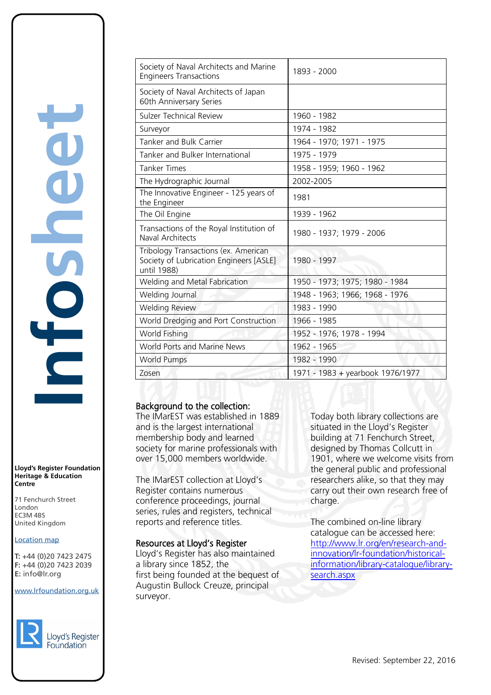**Infosheet** rd's Register Foundat<br>
itage & Education<br>
tre<br>
Eenchurch Street<br>
don<br>
M 4BS<br>
ted Kingdom<br>
ation map<br>
44 (0)20 7423 2475<br>
44 (0)20 7423 2039<br>
nfo@lr.org E

**Lloyd's Register Foundation Heritage & Education Centre**

71 Fenchurch Street 7 Thematen Server<br>London EC3M 4BS United Kingdom

### **Location map**

T: +44 (0)20 7423 2475 **F:** +44 (0)20 7423 2039 Fax: +44 (0)20 7423 2039 **E:** info@lr.org  $F \rightarrow (0/20.7 + 25.205)$ 

EC3M 4BS

www.lrfoundation.org.uk



Lloyd's Register Foundation

| Society of Naval Architects and Marine<br><b>Engineers Transactions</b>                        | 1893 - 2000                      |
|------------------------------------------------------------------------------------------------|----------------------------------|
| Society of Naval Architects of Japan<br>60th Anniversary Series                                |                                  |
| <b>Sulzer Technical Review</b>                                                                 | 1960 - 1982                      |
| Surveyor                                                                                       | 1974 - 1982                      |
| Tanker and Bulk Carrier                                                                        | 1964 - 1970; 1971 - 1975         |
| Tanker and Bulker International                                                                | 1975 - 1979                      |
| <b>Tanker Times</b>                                                                            | 1958 - 1959; 1960 - 1962         |
| The Hydrographic Journal                                                                       | 2002-2005                        |
| The Innovative Engineer - 125 years of<br>the Engineer                                         | 1981                             |
| The Oil Engine                                                                                 | 1939 - 1962                      |
| Transactions of the Royal Institution of<br>Naval Architects                                   | 1980 - 1937; 1979 - 2006         |
| Tribology Transactions (ex. American<br>Society of Lubrication Engineers [ASLE]<br>until 1988) | 1980 - 1997                      |
| Welding and Metal Fabrication                                                                  | 1950 - 1973; 1975; 1980 - 1984   |
| Welding Journal                                                                                | 1948 - 1963; 1966; 1968 - 1976   |
| <b>Welding Review</b>                                                                          | 1983 - 1990                      |
| World Dredging and Port Construction                                                           | 1966 - 1985                      |
| World Fishing                                                                                  | 1952 - 1976; 1978 - 1994         |
| <b>World Ports and Marine News</b>                                                             | 1962 - 1965                      |
| <b>World Pumps</b>                                                                             | 1982 - 1990                      |
| Zosen                                                                                          | 1971 - 1983 + yearbook 1976/1977 |

### Background to the collection:

The IMarEST was established in 1889 and is the largest international membership body and learned society for marine professionals with over 15,000 members worldwide.

The IMarEST collection at Lloyd's Register contains numerous conference proceedings, journal series, rules and registers, technical reports and reference titles.

### Resources at Lloyd's Register

Lloyd's Register has also maintained a library since 1852, the first being founded at the bequest of Augustin Bullock Creuze, principal surveyor.

Today both library collections are situated in the Lloyd's Register building at 71 Fenchurch Street, designed by Thomas Collcutt in 1901, where we welcome visits from the general public and professional researchers alike, so that they may carry out their own research free of charge.

The combined on-line library catalogue can be accessed here: [http://www.lr.org/en/research-and](http://www.lr.org/en/research-and-innovation/lr-foundation/historical-information/library-catalogue/library-search.aspx)[innovation/lr-foundation/historical](http://www.lr.org/en/research-and-innovation/lr-foundation/historical-information/library-catalogue/library-search.aspx)[information/library-catalogue/library](http://www.lr.org/en/research-and-innovation/lr-foundation/historical-information/library-catalogue/library-search.aspx)[search.aspx](http://www.lr.org/en/research-and-innovation/lr-foundation/historical-information/library-catalogue/library-search.aspx)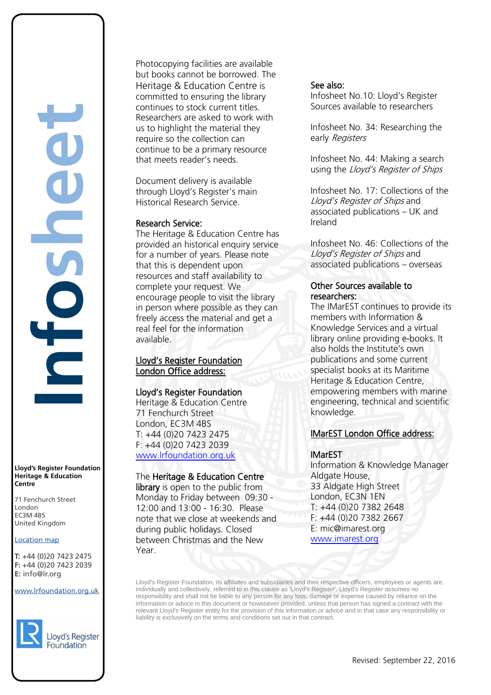**Infosheet** rd's Register Foundat<br>
itage & Education<br>
tre<br>
Eenchurch Street<br>
don<br>
M 4BS<br>
ted Kingdom<br>
ation map<br>
44 (0)20 7423 2475<br>
44 (0)20 7423 2039<br>
nfo@lr.org

**Lloyd's Register Foundation Heritage & Education Centre**

71 Fenchurch Street 7 Thematen Server<br>London EC3M 4BS United Kingdom EC3M 4BS

### **Location map**

T: +44 (0)20 7423 2475 **F:** +44 (0)20 7423 2039 Fax: +44 (0)20 7423 2039 **E:** info@lr.org  $F \rightarrow (0/20.7 + 25.205)$ 

www.lrfoundation.org.uk



Photocopying facilities are available but books cannot be borrowed. The Heritage & Education Centre is committed to ensuring the library continues to stock current titles. Researchers are asked to work with us to highlight the material they require so the collection can continue to be a primary resource that meets reader's needs.

Document delivery is available through Lloyd's Register's main Historical Research Service.

### Research Service:

The Heritage & Education Centre has provided an historical enquiry service for a number of years. Please note that this is dependent upon resources and staff availability to complete your request. We encourage people to visit the library in person where possible as they can freely access the material and get a real feel for the information available.

### Lloyd's Register Foundation London Office address:

### Lloyd's Register Foundation

Heritage & Education Centre 71 Fenchurch Street London, EC3M 4BS T: +44 (0)20 7423 2475 F: +44 (0)20 7423 2039 [www.lrfoundation.org.uk](http://www.lrfoundation.org.uk/) 

### The Heritage & Education Centre

library is open to the public from Monday to Friday between 09:30 - 12:00 and 13:00 - 16:30. Please note that we close at weekends and during public holidays. Closed between Christmas and the New Year.

### See also:

Infosheet No.10: Lloyd's Register Sources available to researchers

Infosheet No. 34: Researching the early Registers

Infosheet No. 44: Making a search using the Lloyd's Register of Ships

Infosheet No. 17: Collections of the Lloyd's Register of Ships and associated publications – UK and Ireland

Infosheet No. 46: Collections of the Lloyd's Register of Ships and associated publications – overseas

### Other Sources available to researchers:

The IMarEST continues to provide its members with Information & Knowledge Services and a virtual library online providing e-books. It also holds the Institute's own publications and some current specialist books at its Maritime Heritage & Education Centre, empowering members with marine engineering, technical and scientific knowledge.

### IMarEST London Office address:

### IMarEST

Information & Knowledge Manager Aldgate House, 33 Aldgate High Street London, EC3N 1EN T: +44 (0)20 7382 2648 F: +44 (0)20 7382 2667 E: [mic@imarest.org](mailto:mic@imarest.org)  [www.imarest.org](http://www.imarest.org/) 

Lloyd's Register Foundation, its affiliates and subsidiaries and their respective officers, employees or agents are, individually and collectively, referred to in this clause as 'Lloyd's Register'. Lloyd's Register assumes no responsibility and shall not be liable to any person for any loss, damage or expense caused by reliance on the information or advice in this document or howsoever provided, unless that person has signed a contract with the relevant Lloyd's Register entity for the provision of this information or advice and in that case any responsibility or liability is exclusively on the terms and conditions set out in that contract.